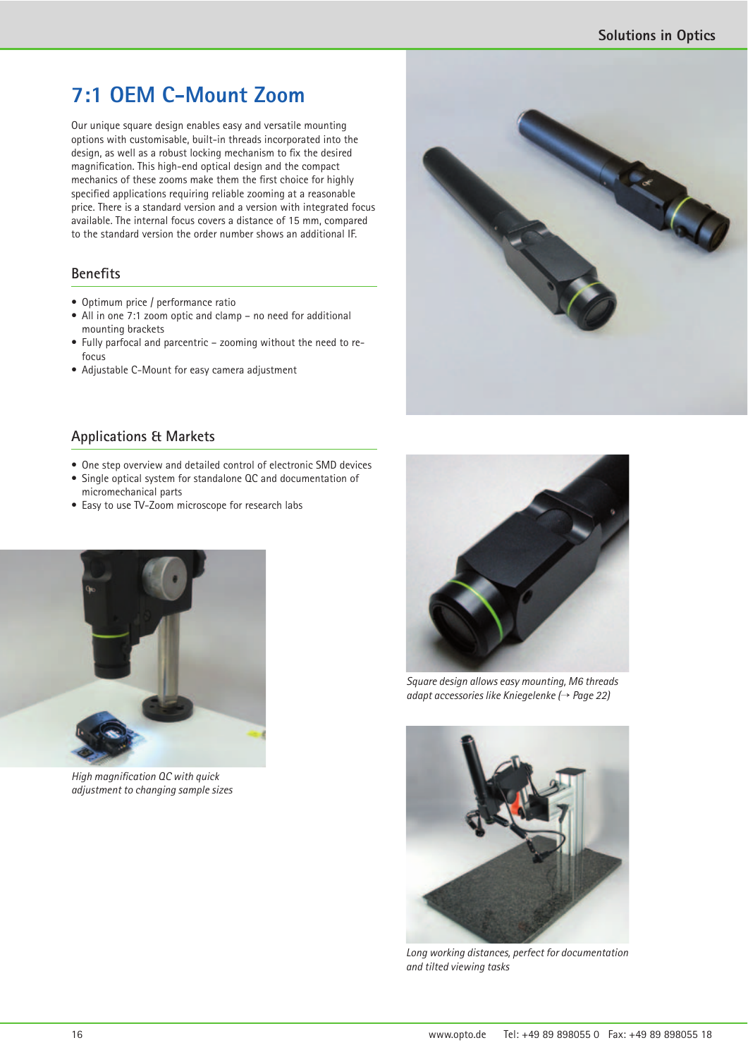Contractor

## **7:1 OEM C-Mount Zoom**

Our unique square design enables easy and versatile mounting options with customisable, built-in threads incorporated into the design, as well as a robust locking mechanism to fix the desired magnification. This high-end optical design and the compact mechanics of these zooms make them the first choice for highly specified applications requiring reliable zooming at a reasonable price. There is a standard version and a version with integrated focus available. The internal focus covers a distance of 15 mm, compared to the standard version the order number shows an additional IF.

## **Benefits**

- Optimum price / performance ratio
- All in one 7:1 zoom optic and clamp no need for additional mounting brackets
- Fully parfocal and parcentric zooming without the need to refocus
- Adjustable C-Mount for easy camera adjustment

## **Applications & Markets**

- One step overview and detailed control of electronic SMD devices
- Single optical system for standalone QC and documentation of micromechanical parts
- Easy to use TV-Zoom microscope for research labs



*High magnification QC with quick adjustment to changing sample sizes*



*Square design allows easy mounting, M6 threads adapt accessories like Kniegelenke (*¤ *Page 22)*



*Long working distances, perfect for documentation and tilted viewing tasks*